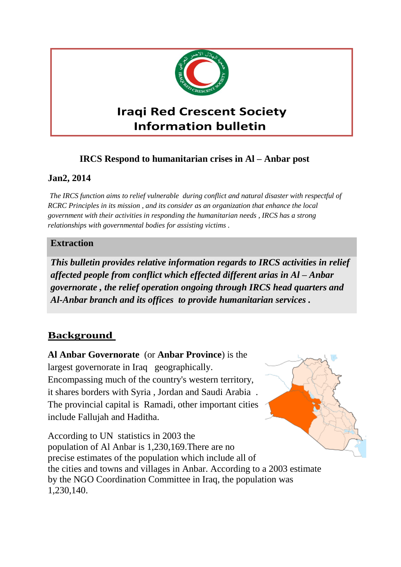

# **Iraqi Red Crescent Society Information bulletin**

# **IRCS Respond to humanitarian crises in Al – Anbar post**

## **Jan2, 2014**

*The IRCS function aims to relief vulnerable during conflict and natural disaster with respectful of RCRC Principles in its mission , and its consider as an organization that enhance the local government with their activities in responding the humanitarian needs , IRCS has a strong relationships with governmental bodies for assisting victims .* 

### **Extraction**

*This bulletin provides relative information regards to IRCS activities in relief affected people from conflict which effected different arias in Al – Anbar governorate , the relief operation ongoing through IRCS head quarters and Al-Anbar branch and its offices to provide humanitarian services .* 

# **Background**

**Al Anbar Governorate** (or **Anbar Province**) is the largest governorate in Iraq geographically. Encompassing much of the country's western territory, it shares borders with Syria , Jordan and Saudi Arabia . The provincial capital is Ramadi, other important cities include Fallujah and Haditha.

According to UN statistics in 2003 the population of Al Anbar is 1,230,169.There are no precise estimates of the population which include all of the cities and towns and villages in Anbar. According to a 2003 estimate by the NGO Coordination Committee in Iraq, the population was 1,230,140.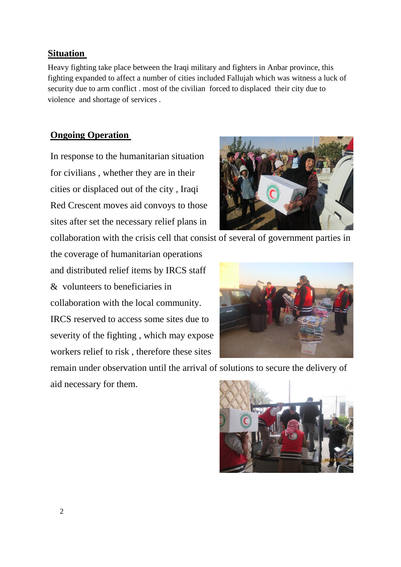### **Ongoing Operation**

violence and shortage of services .

**Situation** 

In response to the humanitarian situation for civilians , whether they are in their cities or displaced out of the city , Iraqi Red Crescent moves aid convoys to those sites after set the necessary relief plans in

collaboration with the crisis cell that consist of several of government parties in

Heavy fighting take place between the Iraqi military and fighters in Anbar province, this fighting expanded to affect a number of cities included Fallujah which was witness a luck of

security due to arm conflict . most of the civilian forced to displaced their city due to

the coverage of humanitarian operations and distributed relief items by IRCS staff & volunteers to beneficiaries in collaboration with the local community. IRCS reserved to access some sites due to severity of the fighting , which may expose workers relief to risk , therefore these sites

remain under observation until the arrival of solutions to secure the delivery of aid necessary for them.





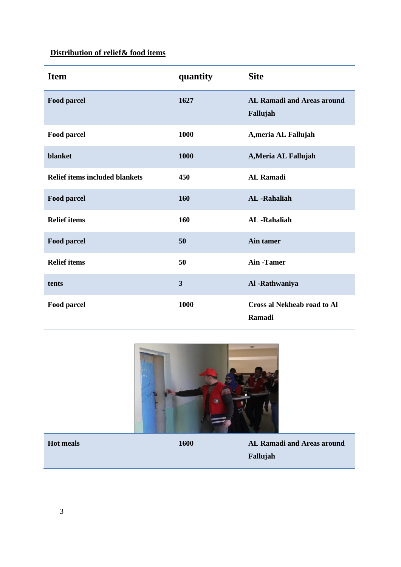# **Distribution of relief& food items**

| <b>Item</b>                           | quantity | <b>Site</b>                                   |
|---------------------------------------|----------|-----------------------------------------------|
| <b>Food parcel</b>                    | 1627     | <b>AL Ramadi and Areas around</b><br>Fallujah |
| Food parcel                           | 1000     | A, meria AL Fallujah                          |
| blanket                               | 1000     | A, Meria AL Fallujah                          |
| <b>Relief items included blankets</b> | 450      | <b>AL Ramadi</b>                              |
| Food parcel                           | 160      | <b>AL</b> -Rahaliah                           |
| <b>Relief items</b>                   | 160      | <b>AL</b> -Rahaliah                           |
| Food parcel                           | 50       | Ain tamer                                     |
| <b>Relief items</b>                   | 50       | <b>Ain-Tamer</b>                              |
| tents                                 | 3        | Al -Rathwaniya                                |
| <b>Food parcel</b>                    | 1000     | <b>Cross al Nekheab road to Al</b><br>Ramadi  |



**Hot meals 1600 AL Ramadi and Areas around Fallujah**